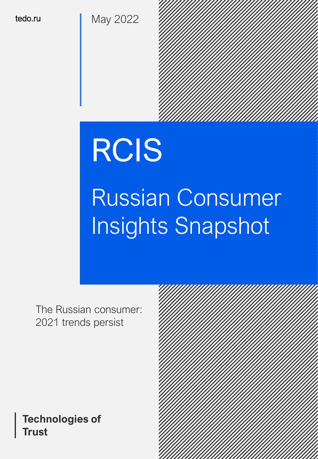tedo.ru May 2022

# RCIS

# Russian Consumer Insights Snapshot

The Russian consumer: 2021 trends persist

### **Technologies of Trust**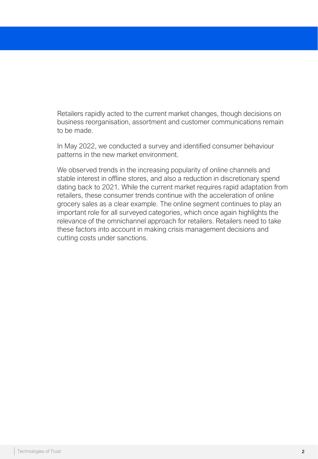Retailers rapidly acted to the current market changes, though decisions on business reorganisation, assortment and customer communications remain to be made.

In May 2022, we conducted a survey and identified consumer behaviour patterns in the new market environment.

We observed trends in the increasing popularity of online channels and stable interest in offline stores, and also a reduction in discretionary spend dating back to 2021. While the current market requires rapid adaptation from retailers, these consumer trends continue with the acceleration of online grocery sales as a clear example. The online segment continues to play an important role for all surveyed categories, which once again highlights the relevance of the omnichannel approach for retailers. Retailers need to take these factors into account in making crisis management decisions and cutting costs under sanctions.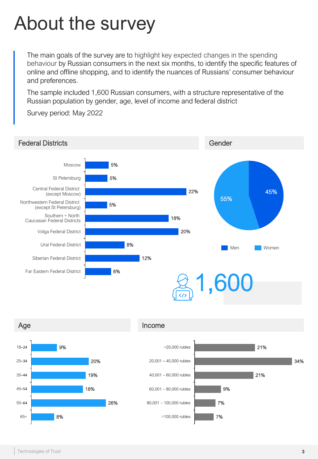### About the survey

The main goals of the survey are to highlight key expected changes in the spending behaviour by Russian consumers in the next six months, to identify the specific features of online and offline shopping, and to identify the nuances of Russians' consumer behaviour and preferences.

The sample included 1,600 Russian consumers, with a structure representative of the Russian population by gender, age, level of income and federal district

Survey period: May 2022

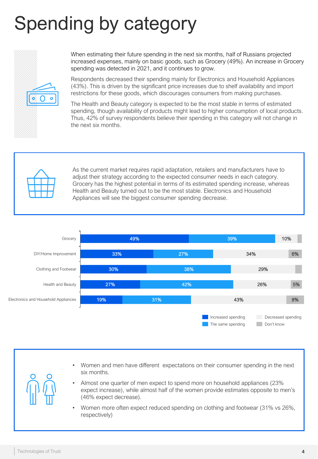## Spending by category



When estimating their future spending in the next six months, half of Russians projected increased expenses, mainly on basic goods, such as Grocery (49%). An increase in Grocery spending was detected in 2021, and it continues to grow.

Respondents decreased their spending mainly for Electronics and Household Appliances (43%). This is driven by the significant price increases due to shelf availability and import restrictions for these goods, which discourages consumers from making purchases.

The Health and Beauty category is expected to be the most stable in terms of estimated spending, though availability of products might lead to higher consumption of local products. Thus, 42% of survey respondents believe their spending in this category will not change in the next six months.



As the current market requires rapid adaptation, retailers and manufacturers have to adjust their strategy according to the expected consumer needs in each category. Grocery has the highest potential in terms of its estimated spending increase, whereas Health and Beauty turned out to be the most stable. Electronics and Household Appliances will see the biggest consumer spending decrease.



- Women and men have different expectations on their consumer spending in the next six months.
- Almost one quarter of men expect to spend more on household appliances (23% expect increase), while almost half of the women provide estimates opposite to men's (46% expect decrease).
- Women more often expect reduced spending on clothing and footwear (31% vs 26%, respectively)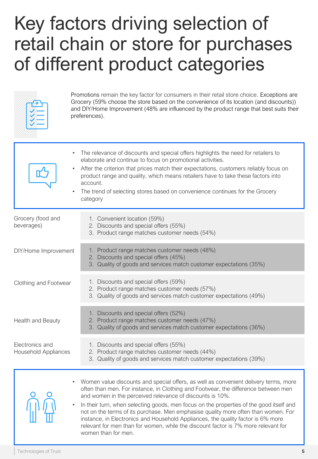### Key factors driving selection of retail chain or store for purchases of different product categories



Promotions remain the key factor for consumers in their retail store choice. Exceptions are Grocery (59% choose the store based on the convenience of its location (and discounts)) and DIY/Home Improvement (48% are influenced by the product range that best suits their preferences).

| The relevance of discounts and special offers highlights the need for retailers to<br>elaborate and continue to focus on promotional activities.<br>After the criterion that prices match their expectations, customers reliably focus on<br>product range and quality, which means retailers have to take these factors into<br>account.<br>The trend of selecting stores based on convenience continues for the Grocery<br>category                                                                                                                                                                                     |
|---------------------------------------------------------------------------------------------------------------------------------------------------------------------------------------------------------------------------------------------------------------------------------------------------------------------------------------------------------------------------------------------------------------------------------------------------------------------------------------------------------------------------------------------------------------------------------------------------------------------------|
| 1. Convenient location (59%)<br>2. Discounts and special offers (55%)<br>3. Product range matches customer needs (54%)                                                                                                                                                                                                                                                                                                                                                                                                                                                                                                    |
| 1. Product range matches customer needs (48%)<br>2. Discounts and special offers (45%)<br>3. Quality of goods and services match customer expectations (35%)                                                                                                                                                                                                                                                                                                                                                                                                                                                              |
| 1. Discounts and special offers (59%)<br>2. Product range matches customer needs (57%)<br>3. Quality of goods and services match customer expectations (49%)                                                                                                                                                                                                                                                                                                                                                                                                                                                              |
| 1. Discounts and special offers (52%)<br>2. Product range matches customer needs (47%)<br>3. Quality of goods and services match customer expectations (36%)                                                                                                                                                                                                                                                                                                                                                                                                                                                              |
| 1. Discounts and special offers (55%)<br>2. Product range matches customer needs (44%)<br>3. Quality of goods and services match customer expectations (39%)                                                                                                                                                                                                                                                                                                                                                                                                                                                              |
| Women value discounts and special offers, as well as convenient delivery terms, more<br>often than men. For instance, in Clothing and Footwear, the difference between men<br>and women in the perceived relevance of discounts is 10%.<br>In their turn, when selecting goods, men focus on the properties of the good itself and<br>not on the terms of its purchase. Men emphasise quality more often than women. For<br>instance, in Electronics and Household Appliances, the quality factor is 6% more<br>relevant for men than for women, while the discount factor is 7% more relevant for<br>women than for men. |
|                                                                                                                                                                                                                                                                                                                                                                                                                                                                                                                                                                                                                           |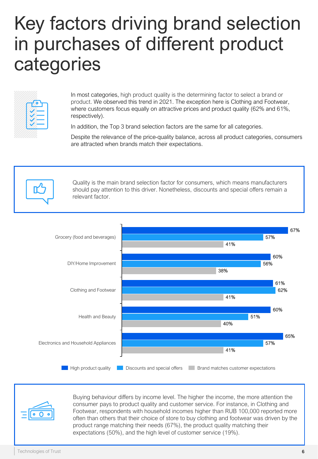### Key factors driving brand selection in purchases of different product categories



In most categories, high product quality is the determining factor to select a brand or product. We observed this trend in 2021. The exception here is Clothing and Footwear, where customers focus equally on attractive prices and product quality (62% and 61%, respectively).

In addition, the Top 3 brand selection factors are the same for all categories.

Despite the relevance of the price-quality balance, across all product categories, consumers are attracted when brands match their expectations.







Buying behaviour differs by income level. The higher the income, the more attention the consumer pays to product quality and customer service. For instance, in Clothing and Footwear, respondents with household incomes higher than RUB 100,000 reported more often than others that their choice of store to buy clothing and footwear was driven by the product range matching their needs (67%), the product quality matching their expectations (50%), and the high level of customer service (19%).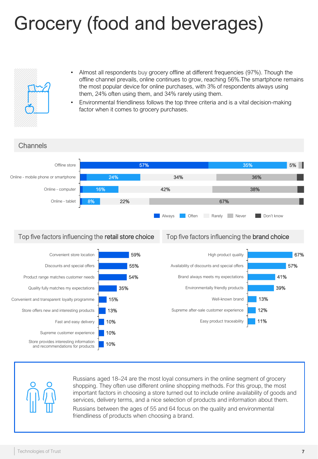### Grocery (food and beverages)



- Almost all respondents buy grocery offline at different frequencies (97%). Though the offline channel prevails, online continues to grow, reaching 56%.The smartphone remains the most popular device for online purchases, with 3% of respondents always using them, 24% often using them, and 34% rarely using them.
- Environmental friendliness follows the top three criteria and is a vital decision-making factor when it comes to grocery purchases.





Russians aged 18–24 are the most loyal consumers in the online segment of grocery shopping. They often use different online shopping methods. For this group, the most important factors in choosing a store turned out to include online availability of goods and services, delivery terms, and a nice selection of products and information about them.

Russians between the ages of 55 and 64 focus on the quality and environmental friendliness of products when choosing a brand.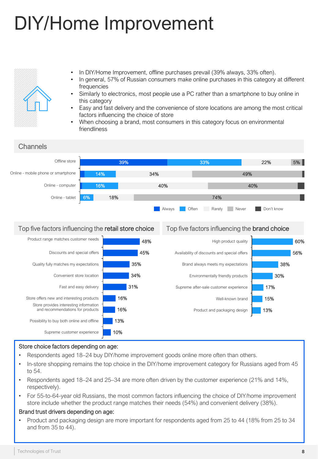## DIY/Home Improvement



- In DIY/Home Improvement, offline purchases prevail (39% always, 33% often).
- In general, 57% of Russian consumers make online purchases in this category at different frequencies
- Similarly to electronics, most people use a PC rather than a smartphone to buy online in this category
- Easy and fast delivery and the convenience of store locations are among the most critical factors influencing the choice of store
- When choosing a brand, most consumers in this category focus on environmental friendliness



#### Top five factors influencing the retail store choice Top five factors influencing the brand choice



#### Store choice factors depending on age:

- Respondents aged 18-24 buy DIY/home improvement goods online more often than others.
- In-store shopping remains the top choice in the DIY/home improvement category for Russians aged from 45 to 54.
- Respondents aged 18–24 and 25–34 are more often driven by the customer experience (21% and 14%, respectively).
- For 55-to-64-year old Russians, the most common factors influencing the choice of DIY/home improvement store include whether the product range matches their needs (54%) and convenient delivery (38%).

#### Brand trust drivers depending on age:

• Product and packaging design are more important for respondents aged from 25 to 44 (18% from 25 to 34 and from 35 to 44).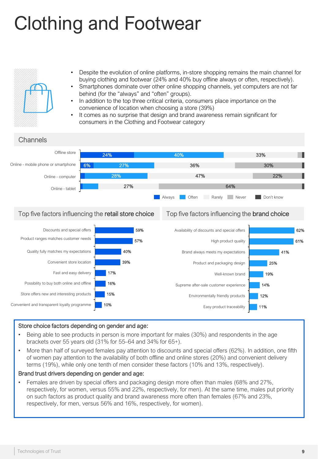### Clothing and Footwear



- Despite the evolution of online platforms, in-store shopping remains the main channel for buying clothing and footwear (24% and 40% buy offline always or often, respectively).
- Smartphones dominate over other online shopping channels, yet computers are not far behind (for the "always" and "often" groups).
	- In addition to the top three critical criteria, consumers place importance on the convenience of location when choosing a store (39%)
- It comes as no surprise that design and brand awareness remain significant for consumers in the Clothing and Footwear category





#### Store choice factors depending on gender and age:

- Being able to see products in person is more important for males (30%) and respondents in the age brackets over 55 years old (31% for 55–64 and 34% for 65+).
- More than half of surveyed females pay attention to discounts and special offers (62%). In addition, one fifth of women pay attention to the availability of both offline and online stores (20%) and convenient delivery terms (19%), while only one tenth of men consider these factors (10% and 13%, respectively).

#### Brand trust drivers depending on gender and age:

• Females are driven by special offers and packaging design more often than males (68% and 27%, respectively, for women, versus 55% and 22%, respectively, for men). At the same time, males put priority on such factors as product quality and brand awareness more often than females (67% and 23%, respectively, for men, versus 56% and 16%, respectively, for women).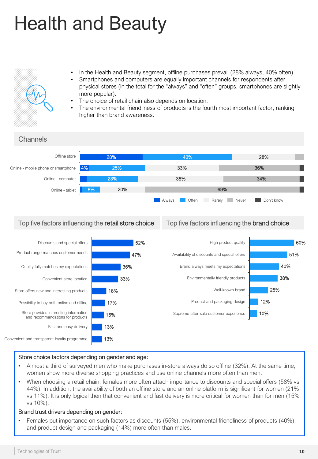## Health and Beauty



- In the Health and Beauty segment, offline purchases prevail (28% always, 40% often).
- Smartphones and computers are equally important channels for respondents after physical stores (in the total for the "always" and "often" groups, smartphones are slightly more popular).
- The choice of retail chain also depends on location.
- The environmental friendliness of products is the fourth most important factor, ranking higher than brand awareness.



### Top five factors influencing the retail store choice Top five factors influencing the brand choice



#### Store choice factors depending on gender and age:

- Almost a third of surveyed men who make purchases in-store always do so offline (32%). At the same time, women show more diverse shopping practices and use online channels more often than men.
- When choosing a retail chain, females more often attach importance to discounts and special offers (58% vs 44%). In addition, the availability of both an offline store and an online platform is significant for women (21% vs 11%). It is only logical then that convenient and fast delivery is more critical for women than for men (15% vs 10%).

#### Brand trust drivers depending on gender:

• Females put importance on such factors as discounts (55%), environmental friendliness of products (40%), and product design and packaging (14%) more often than males.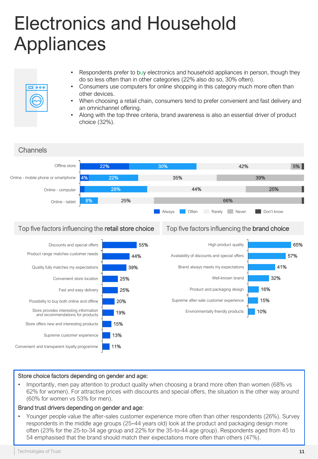### Electronics and Household Appliances



- Respondents prefer to buy electronics and household appliances in person, though they do so less often than in other categories (22% also do so, 30% often).
- Consumers use computers for online shopping in this category much more often than other devices.
- When choosing a retail chain, consumers tend to prefer convenient and fast delivery and an omnichannel offering.
- Along with the top three criteria, brand awareness is also an essential driver of product choice (32%).



#### Store choice factors depending on gender and age:

• Importantly, men pay attention to product quality when choosing a brand more often than women (68% vs 62% for women). For attractive prices with discounts and special offers, the situation is the other way around (60% for women vs 53% for men).

#### Brand trust drivers depending on gender and age:

• Younger people value the after-sales customer experience more often than other respondents (26%). Survey respondents in the middle age groups (25–44 years old) look at the product and packaging design more often (23% for the 25-to-34 age group and 22% for the 35-to-44 age group). Respondents aged from 45 to 54 emphasised that the brand should match their expectations more often than others (47%).